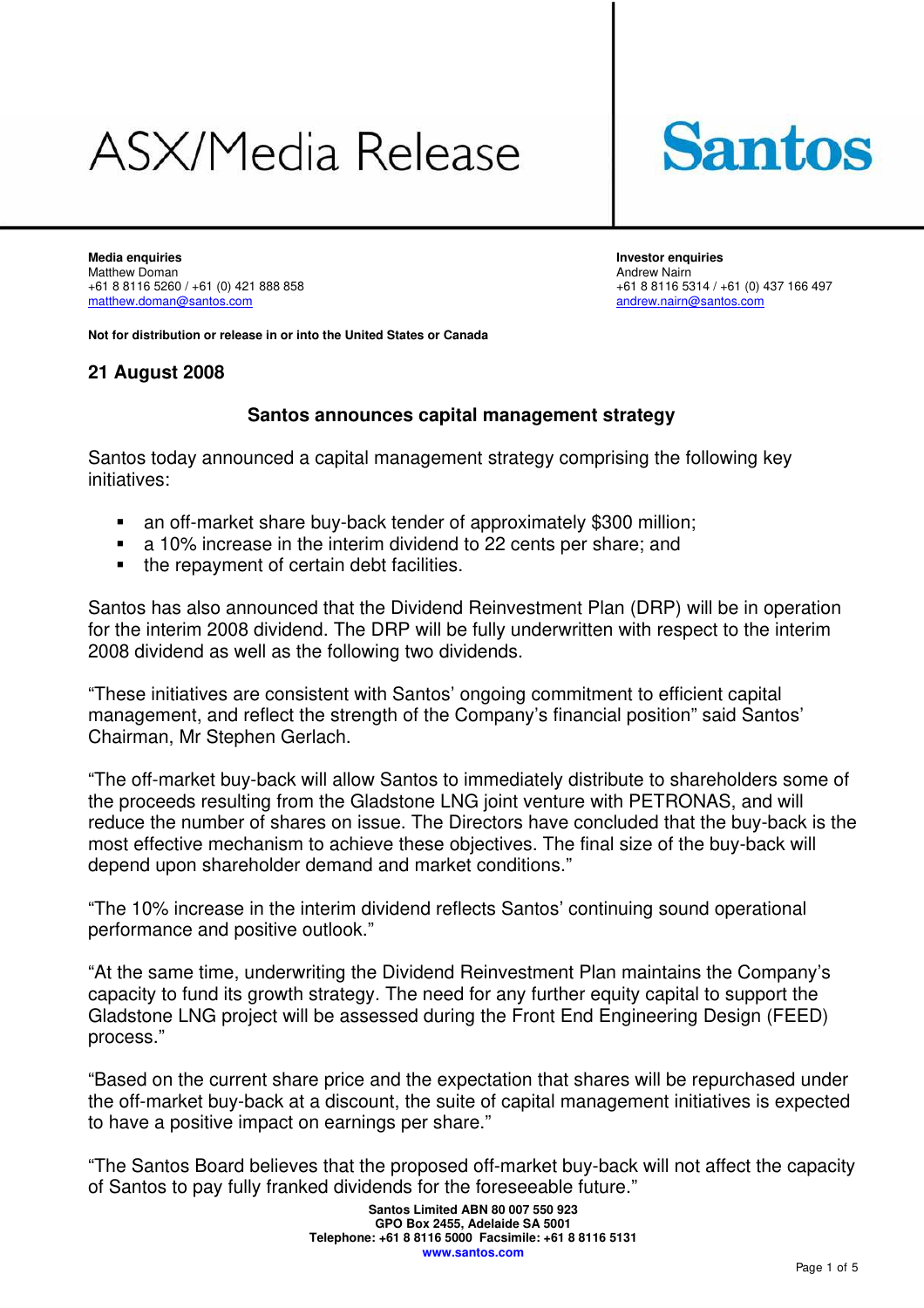# ASX/Media Release



**Media enquiries Investor enquiries**  Matthew Doman <br>
+61 8 8116 5260 / +61 (0) 421 888 858 <br>
+61 8 8116 53

+61 8 8116 5260 / +61 (0) 421 888 858<br>
matthew.doman@santos.com<br>
andrew.nairn@santos.com [andrew.nairn@santos.com](mailto:andrew.nairn@santos.com)

**Not for distribution or release in or into the United States or Canada** 

# **21 August 2008**

# **Santos announces capital management strategy**

Santos today announced a capital management strategy comprising the following key initiatives:

- an off-market share buy-back tender of approximately \$300 million;
- a 10% increase in the interim dividend to 22 cents per share; and
- the repayment of certain debt facilities.

Santos has also announced that the Dividend Reinvestment Plan (DRP) will be in operation for the interim 2008 dividend. The DRP will be fully underwritten with respect to the interim 2008 dividend as well as the following two dividends.

"These initiatives are consistent with Santos' ongoing commitment to efficient capital management, and reflect the strength of the Company's financial position" said Santos' Chairman, Mr Stephen Gerlach.

"The off-market buy-back will allow Santos to immediately distribute to shareholders some of the proceeds resulting from the Gladstone LNG joint venture with PETRONAS, and will reduce the number of shares on issue. The Directors have concluded that the buy-back is the most effective mechanism to achieve these objectives. The final size of the buy-back will depend upon shareholder demand and market conditions."

"The 10% increase in the interim dividend reflects Santos' continuing sound operational performance and positive outlook."

"At the same time, underwriting the Dividend Reinvestment Plan maintains the Company's capacity to fund its growth strategy. The need for any further equity capital to support the Gladstone LNG project will be assessed during the Front End Engineering Design (FEED) process."

"Based on the current share price and the expectation that shares will be repurchased under the off-market buy-back at a discount, the suite of capital management initiatives is expected to have a positive impact on earnings per share."

"The Santos Board believes that the proposed off-market buy-back will not affect the capacity of Santos to pay fully franked dividends for the foreseeable future."

> **Santos Limited ABN 80 007 550 923 GPO Box 2455, Adelaide SA 5001 Telephone: +61 8 8116 5000 Facsimile: +61 8 8116 5131 www.santos.com**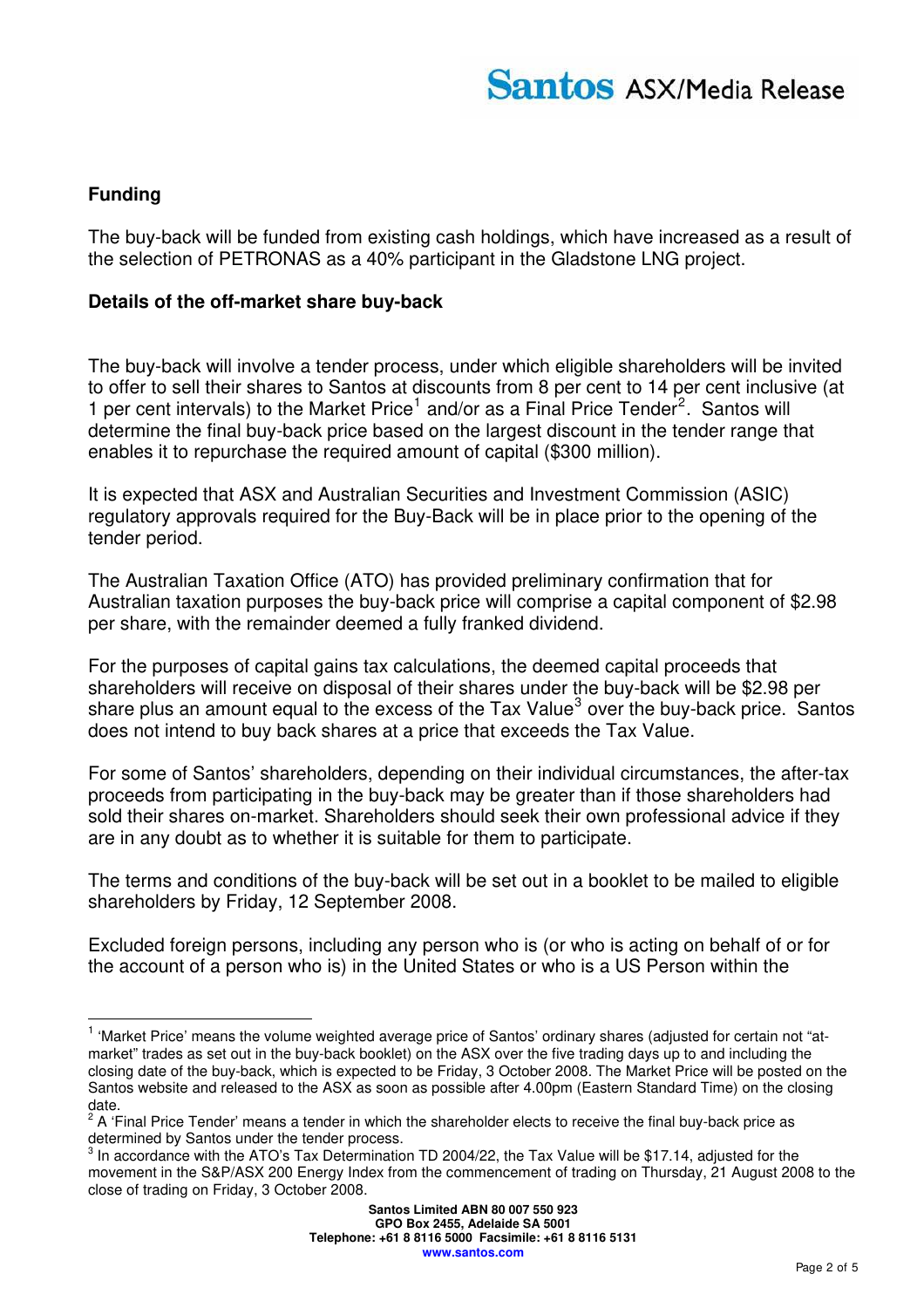# **Funding**

 $\overline{a}$ 

The buy-back will be funded from existing cash holdings, which have increased as a result of the selection of PETRONAS as a 40% participant in the Gladstone LNG project.

#### **Details of the off-market share buy-back**

The buy-back will involve a tender process, under which eligible shareholders will be invited to offer to sell their shares to Santos at discounts from 8 per cent to 14 per cent inclusive (at [1](#page-1-0) per cent intervals) to the Market Price<sup>1</sup> and/or as a Final Price Tender<sup>[2](#page-1-1)</sup>. Santos will determine the final buy-back price based on the largest discount in the tender range that enables it to repurchase the required amount of capital (\$300 million).

It is expected that ASX and Australian Securities and Investment Commission (ASIC) regulatory approvals required for the Buy-Back will be in place prior to the opening of the tender period.

The Australian Taxation Office (ATO) has provided preliminary confirmation that for Australian taxation purposes the buy-back price will comprise a capital component of \$2.98 per share, with the remainder deemed a fully franked dividend.

For the purposes of capital gains tax calculations, the deemed capital proceeds that shareholders will receive on disposal of their shares under the buy-back will be \$2.98 per share plus an amount equal to the excess of the Tax Value<sup>[3](#page-1-2)</sup> over the buy-back price. Santos does not intend to buy back shares at a price that exceeds the Tax Value.

For some of Santos' shareholders, depending on their individual circumstances, the after-tax proceeds from participating in the buy-back may be greater than if those shareholders had sold their shares on-market. Shareholders should seek their own professional advice if they are in any doubt as to whether it is suitable for them to participate.

The terms and conditions of the buy-back will be set out in a booklet to be mailed to eligible shareholders by Friday, 12 September 2008.

Excluded foreign persons, including any person who is (or who is acting on behalf of or for the account of a person who is) in the United States or who is a US Person within the

<span id="page-1-0"></span><sup>&</sup>lt;sup>1</sup> 'Market Price' means the volume weighted average price of Santos' ordinary shares (adjusted for certain not "atmarket" trades as set out in the buy-back booklet) on the ASX over the five trading days up to and including the closing date of the buy-back, which is expected to be Friday, 3 October 2008. The Market Price will be posted on the Santos website and released to the ASX as soon as possible after 4.00pm (Eastern Standard Time) on the closing date.

<span id="page-1-1"></span> $2$  A 'Final Price Tender' means a tender in which the shareholder elects to receive the final buy-back price as determined by Santos under the tender process.

<span id="page-1-2"></span> $^3$  In accordance with the ATO's Tax Determination TD 2004/22, the Tax Value will be \$17.14, adjusted for the movement in the S&P/ASX 200 Energy Index from the commencement of trading on Thursday, 21 August 2008 to the close of trading on Friday, 3 October 2008.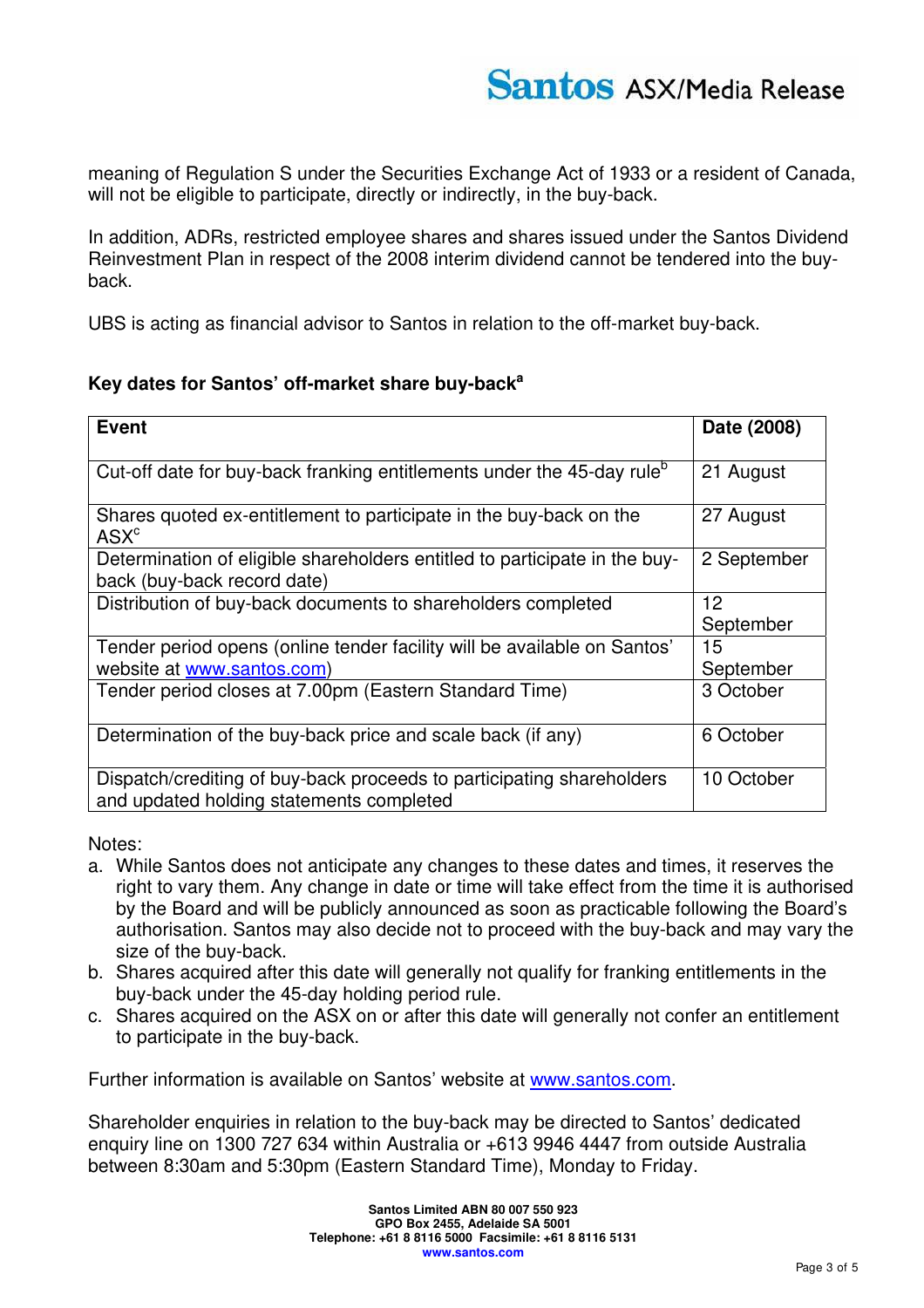meaning of Regulation S under the Securities Exchange Act of 1933 or a resident of Canada, will not be eligible to participate, directly or indirectly, in the buy-back.

In addition, ADRs, restricted employee shares and shares issued under the Santos Dividend Reinvestment Plan in respect of the 2008 interim dividend cannot be tendered into the buyback.

UBS is acting as financial advisor to Santos in relation to the off-market buy-back.

#### **Key dates for Santos' off-market share buy-back<sup>a</sup>**

| <b>Event</b>                                                                                                      | Date (2008)     |
|-------------------------------------------------------------------------------------------------------------------|-----------------|
| Cut-off date for buy-back franking entitlements under the 45-day rule <sup>b</sup>                                | 21 August       |
| Shares quoted ex-entitlement to participate in the buy-back on the<br>$\mathsf{ASX}^c$                            | 27 August       |
| Determination of eligible shareholders entitled to participate in the buy-<br>back (buy-back record date)         | 2 September     |
| Distribution of buy-back documents to shareholders completed                                                      | 12<br>September |
| Tender period opens (online tender facility will be available on Santos'<br>website at www.santos.com)            | 15<br>September |
| Tender period closes at 7.00pm (Eastern Standard Time)                                                            | 3 October       |
| Determination of the buy-back price and scale back (if any)                                                       | 6 October       |
| Dispatch/crediting of buy-back proceeds to participating shareholders<br>and updated holding statements completed | 10 October      |

Notes:

- a. While Santos does not anticipate any changes to these dates and times, it reserves the right to vary them. Any change in date or time will take effect from the time it is authorised by the Board and will be publicly announced as soon as practicable following the Board's authorisation. Santos may also decide not to proceed with the buy-back and may vary the size of the buy-back.
- b. Shares acquired after this date will generally not qualify for franking entitlements in the buy-back under the 45-day holding period rule.
- c. Shares acquired on the ASX on or after this date will generally not confer an entitlement to participate in the buy-back.

Further information is available on Santos' website at [www.santos.com](http://www.santos.com/).

Shareholder enquiries in relation to the buy-back may be directed to Santos' dedicated enquiry line on 1300 727 634 within Australia or +613 9946 4447 from outside Australia between 8:30am and 5:30pm (Eastern Standard Time), Monday to Friday.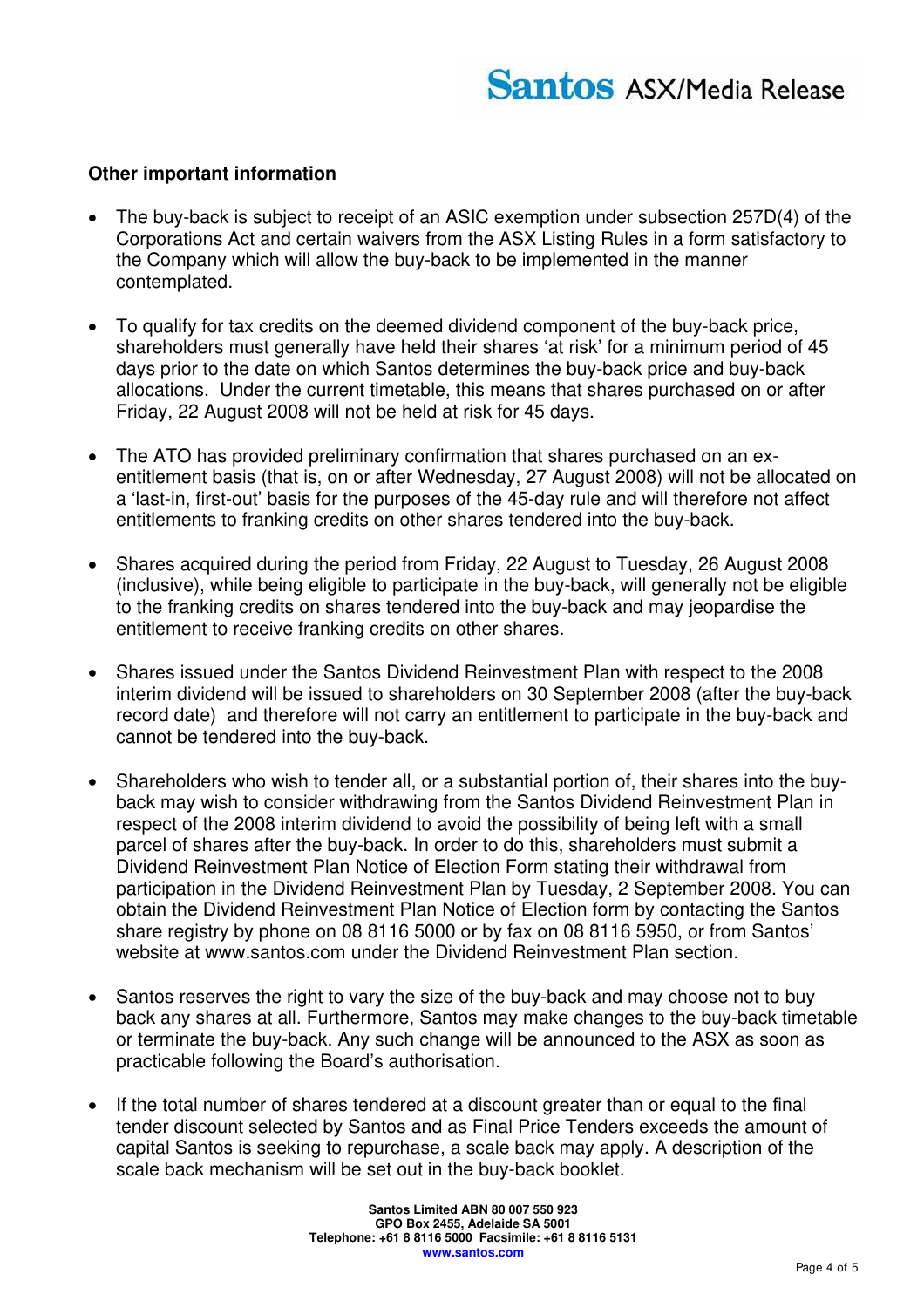#### **Other important information**

- The buy-back is subject to receipt of an ASIC exemption under subsection 257D(4) of the Corporations Act and certain waivers from the ASX Listing Rules in a form satisfactory to the Company which will allow the buy-back to be implemented in the manner contemplated.
- To qualify for tax credits on the deemed dividend component of the buy-back price, shareholders must generally have held their shares 'at risk' for a minimum period of 45 days prior to the date on which Santos determines the buy-back price and buy-back allocations. Under the current timetable, this means that shares purchased on or after Friday, 22 August 2008 will not be held at risk for 45 days.
- The ATO has provided preliminary confirmation that shares purchased on an exentitlement basis (that is, on or after Wednesday, 27 August 2008) will not be allocated on a 'last-in, first-out' basis for the purposes of the 45-day rule and will therefore not affect entitlements to franking credits on other shares tendered into the buy-back.
- Shares acquired during the period from Friday, 22 August to Tuesday, 26 August 2008 (inclusive), while being eligible to participate in the buy-back, will generally not be eligible to the franking credits on shares tendered into the buy-back and may jeopardise the entitlement to receive franking credits on other shares.
- Shares issued under the Santos Dividend Reinvestment Plan with respect to the 2008 interim dividend will be issued to shareholders on 30 September 2008 (after the buy-back record date) and therefore will not carry an entitlement to participate in the buy-back and cannot be tendered into the buy-back.
- Shareholders who wish to tender all, or a substantial portion of, their shares into the buyback may wish to consider withdrawing from the Santos Dividend Reinvestment Plan in respect of the 2008 interim dividend to avoid the possibility of being left with a small parcel of shares after the buy-back. In order to do this, shareholders must submit a Dividend Reinvestment Plan Notice of Election Form stating their withdrawal from participation in the Dividend Reinvestment Plan by Tuesday, 2 September 2008. You can obtain the Dividend Reinvestment Plan Notice of Election form by contacting the Santos share registry by phone on 08 8116 5000 or by fax on 08 8116 5950, or from Santos' website at [www.santos.com](http://www.santos.com/) under the Dividend Reinvestment Plan section.
- Santos reserves the right to vary the size of the buy-back and may choose not to buy back any shares at all. Furthermore, Santos may make changes to the buy-back timetable or terminate the buy-back. Any such change will be announced to the ASX as soon as practicable following the Board's authorisation.
- If the total number of shares tendered at a discount greater than or equal to the final tender discount selected by Santos and as Final Price Tenders exceeds the amount of capital Santos is seeking to repurchase, a scale back may apply. A description of the scale back mechanism will be set out in the buy-back booklet.